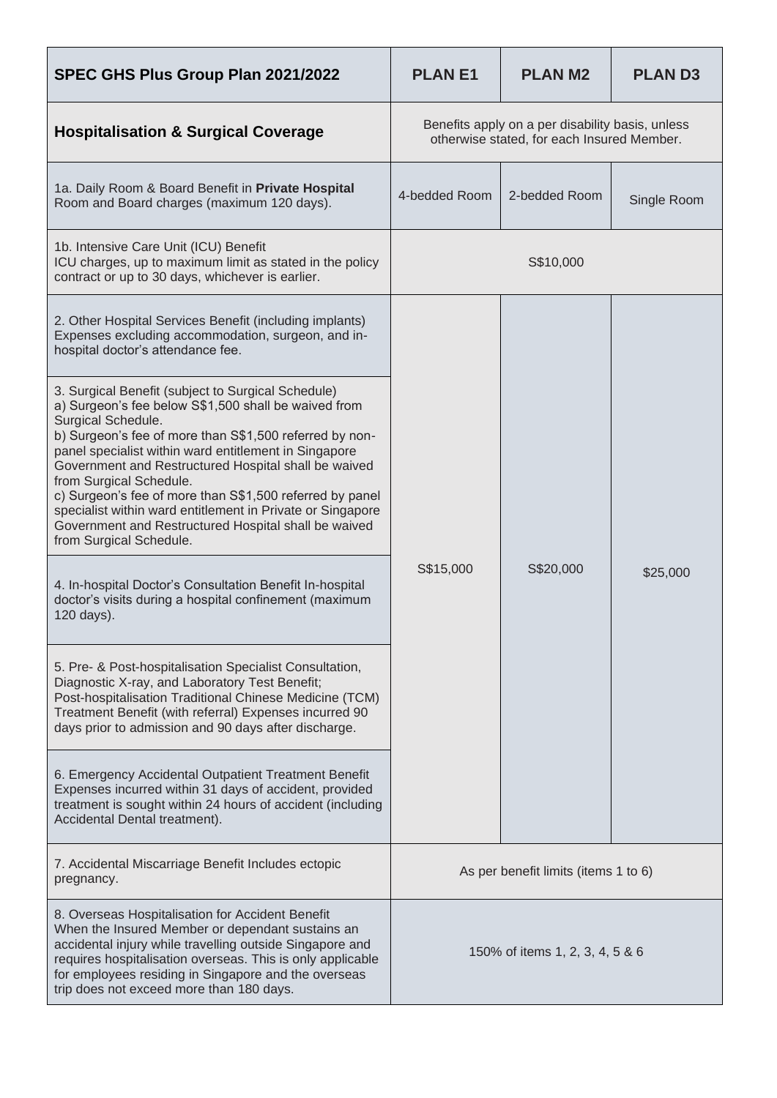| SPEC GHS Plus Group Plan 2021/2022                                                                                                                                                                                                                                                                                                                                                                                                                                                                                                                   | <b>PLANE1</b>                                                                                  | <b>PLAN M2</b> | <b>PLAND3</b> |
|------------------------------------------------------------------------------------------------------------------------------------------------------------------------------------------------------------------------------------------------------------------------------------------------------------------------------------------------------------------------------------------------------------------------------------------------------------------------------------------------------------------------------------------------------|------------------------------------------------------------------------------------------------|----------------|---------------|
| <b>Hospitalisation &amp; Surgical Coverage</b>                                                                                                                                                                                                                                                                                                                                                                                                                                                                                                       | Benefits apply on a per disability basis, unless<br>otherwise stated, for each Insured Member. |                |               |
| 1a. Daily Room & Board Benefit in Private Hospital<br>Room and Board charges (maximum 120 days).                                                                                                                                                                                                                                                                                                                                                                                                                                                     | 4-bedded Room                                                                                  | 2-bedded Room  | Single Room   |
| 1b. Intensive Care Unit (ICU) Benefit<br>ICU charges, up to maximum limit as stated in the policy<br>contract or up to 30 days, whichever is earlier.                                                                                                                                                                                                                                                                                                                                                                                                | S\$10,000                                                                                      |                |               |
| 2. Other Hospital Services Benefit (including implants)<br>Expenses excluding accommodation, surgeon, and in-<br>hospital doctor's attendance fee.                                                                                                                                                                                                                                                                                                                                                                                                   | S\$15,000                                                                                      | S\$20,000      | \$25,000      |
| 3. Surgical Benefit (subject to Surgical Schedule)<br>a) Surgeon's fee below S\$1,500 shall be waived from<br>Surgical Schedule.<br>b) Surgeon's fee of more than S\$1,500 referred by non-<br>panel specialist within ward entitlement in Singapore<br>Government and Restructured Hospital shall be waived<br>from Surgical Schedule.<br>c) Surgeon's fee of more than S\$1,500 referred by panel<br>specialist within ward entitlement in Private or Singapore<br>Government and Restructured Hospital shall be waived<br>from Surgical Schedule. |                                                                                                |                |               |
| 4. In-hospital Doctor's Consultation Benefit In-hospital<br>doctor's visits during a hospital confinement (maximum<br>120 days).                                                                                                                                                                                                                                                                                                                                                                                                                     |                                                                                                |                |               |
| 5. Pre- & Post-hospitalisation Specialist Consultation,<br>Diagnostic X-ray, and Laboratory Test Benefit;<br>Post-hospitalisation Traditional Chinese Medicine (TCM)<br>Treatment Benefit (with referral) Expenses incurred 90<br>days prior to admission and 90 days after discharge.                                                                                                                                                                                                                                                               |                                                                                                |                |               |
| 6. Emergency Accidental Outpatient Treatment Benefit<br>Expenses incurred within 31 days of accident, provided<br>treatment is sought within 24 hours of accident (including<br>Accidental Dental treatment).                                                                                                                                                                                                                                                                                                                                        |                                                                                                |                |               |
| 7. Accidental Miscarriage Benefit Includes ectopic<br>pregnancy.                                                                                                                                                                                                                                                                                                                                                                                                                                                                                     | As per benefit limits (items 1 to 6)                                                           |                |               |
| 8. Overseas Hospitalisation for Accident Benefit<br>When the Insured Member or dependant sustains an<br>accidental injury while travelling outside Singapore and<br>requires hospitalisation overseas. This is only applicable<br>for employees residing in Singapore and the overseas<br>trip does not exceed more than 180 days.                                                                                                                                                                                                                   | 150% of items 1, 2, 3, 4, 5 & 6                                                                |                |               |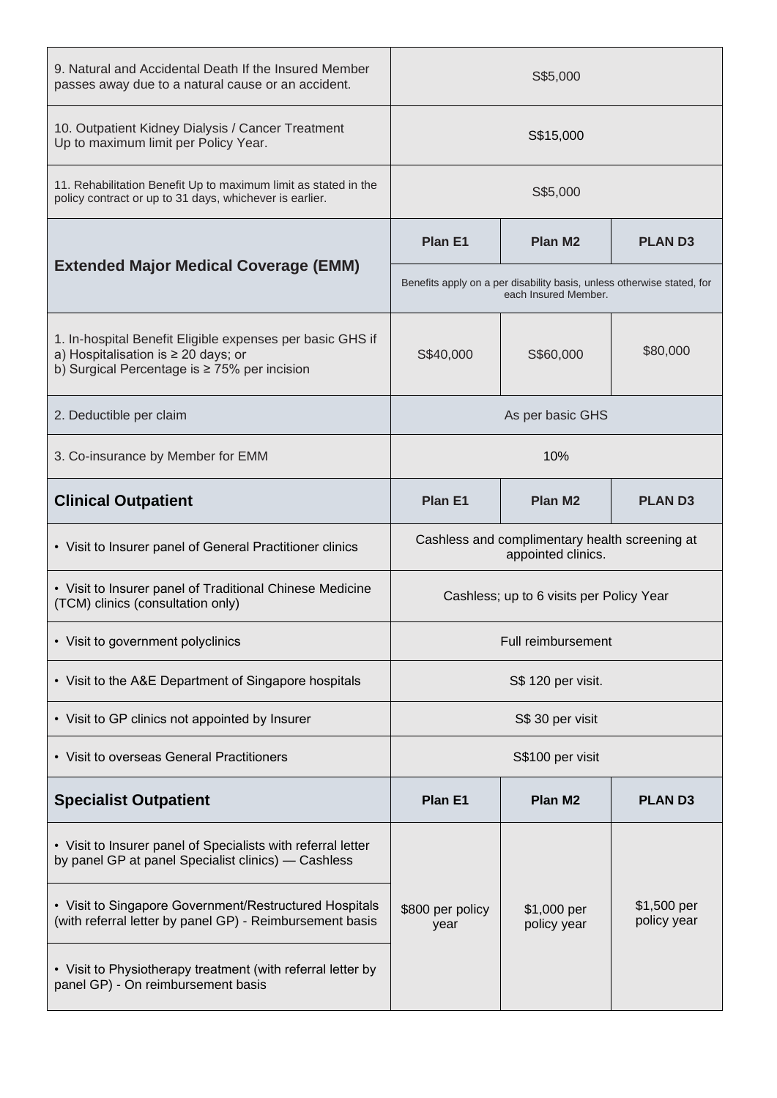| 9. Natural and Accidental Death If the Insured Member<br>passes away due to a natural cause or an accident.                                      | S\$5,000                                                                                       |                            |                            |  |
|--------------------------------------------------------------------------------------------------------------------------------------------------|------------------------------------------------------------------------------------------------|----------------------------|----------------------------|--|
| 10. Outpatient Kidney Dialysis / Cancer Treatment<br>Up to maximum limit per Policy Year.                                                        | S\$15,000                                                                                      |                            |                            |  |
| 11. Rehabilitation Benefit Up to maximum limit as stated in the<br>policy contract or up to 31 days, whichever is earlier.                       | S\$5,000                                                                                       |                            |                            |  |
| <b>Extended Major Medical Coverage (EMM)</b>                                                                                                     | Plan E1                                                                                        | <b>Plan M2</b>             | <b>PLAND3</b>              |  |
|                                                                                                                                                  | Benefits apply on a per disability basis, unless otherwise stated, for<br>each Insured Member. |                            |                            |  |
| 1. In-hospital Benefit Eligible expenses per basic GHS if<br>a) Hospitalisation is ≥ 20 days; or<br>b) Surgical Percentage is ≥ 75% per incision | S\$40,000                                                                                      | S\$60,000                  | \$80,000                   |  |
| 2. Deductible per claim                                                                                                                          | As per basic GHS                                                                               |                            |                            |  |
| 3. Co-insurance by Member for EMM                                                                                                                | 10%                                                                                            |                            |                            |  |
| <b>Clinical Outpatient</b>                                                                                                                       | Plan E1                                                                                        | Plan M <sub>2</sub>        | <b>PLAND3</b>              |  |
| • Visit to Insurer panel of General Practitioner clinics                                                                                         | Cashless and complimentary health screening at<br>appointed clinics.                           |                            |                            |  |
| • Visit to Insurer panel of Traditional Chinese Medicine<br>(TCM) clinics (consultation only)                                                    | Cashless; up to 6 visits per Policy Year                                                       |                            |                            |  |
| • Visit to government polyclinics                                                                                                                | Full reimbursement                                                                             |                            |                            |  |
| • Visit to the A&E Department of Singapore hospitals                                                                                             | S\$ 120 per visit.                                                                             |                            |                            |  |
| • Visit to GP clinics not appointed by Insurer                                                                                                   | S\$ 30 per visit                                                                               |                            |                            |  |
| • Visit to overseas General Practitioners                                                                                                        | S\$100 per visit                                                                               |                            |                            |  |
| <b>Specialist Outpatient</b>                                                                                                                     | Plan E1                                                                                        | Plan M <sub>2</sub>        | <b>PLAND3</b>              |  |
| • Visit to Insurer panel of Specialists with referral letter<br>by panel GP at panel Specialist clinics) - Cashless                              |                                                                                                |                            |                            |  |
| • Visit to Singapore Government/Restructured Hospitals<br>(with referral letter by panel GP) - Reimbursement basis                               | \$800 per policy<br>year                                                                       | \$1,000 per<br>policy year | \$1,500 per<br>policy year |  |
| • Visit to Physiotherapy treatment (with referral letter by<br>panel GP) - On reimbursement basis                                                |                                                                                                |                            |                            |  |